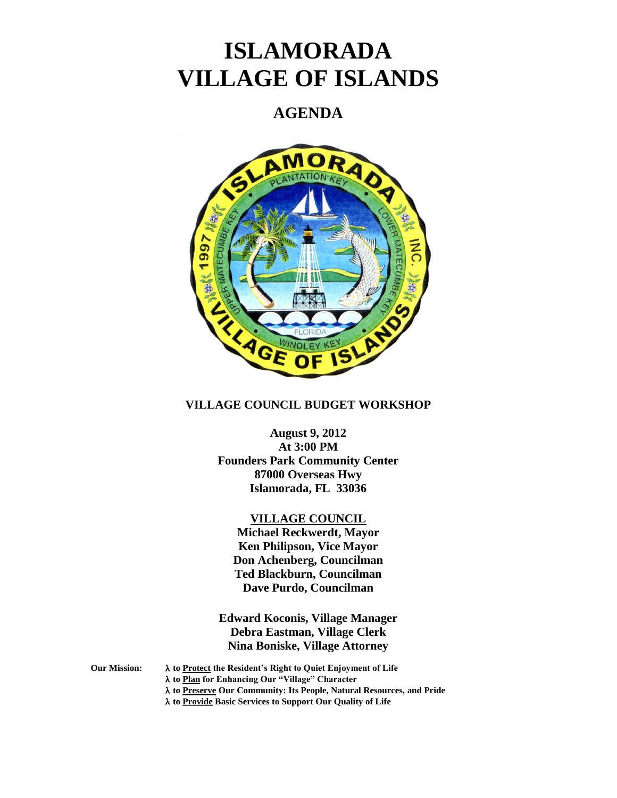# **ISLAMORADA VILLAGE OF ISLANDS**

# **AGENDA**



# **VILLAGE COUNCIL BUDGET WORKSHOP**

# **August 9, 2012 At 3:00 PM Founders Park Community Center 87000 Overseas Hwy Islamorada, FL 33036**

## **VILLAGE COUNCIL**

**Michael Reckwerdt, Mayor Ken Philipson, Vice Mayor Don Achenberg, Councilman Ted Blackburn, Councilman Dave Purdo, Councilman**

**Edward Koconis, Village Manager Debra Eastman, Village Clerk Nina Boniske, Village Attorney**

**Our Mission: to Protect the Resident's Right to Quiet Enjoyment of Life to Plan for Enhancing Our "Village" Character to Preserve Our Community: Its People, Natural Resources, and Pride to Provide Basic Services to Support Our Quality of Life**